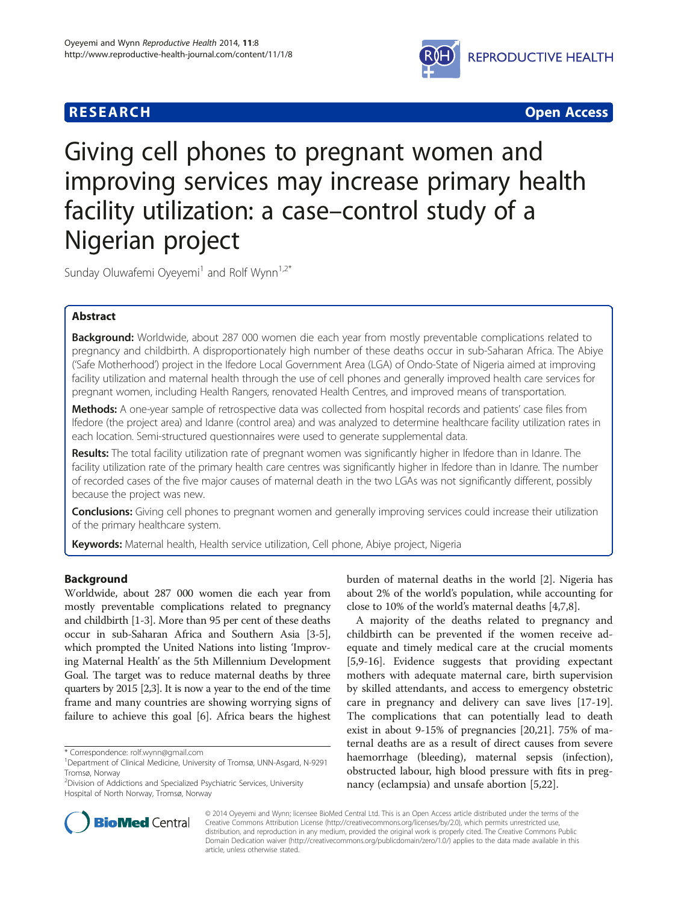# **RESEARCH CHEAR CHEAR CHEAR CHEAR CHEAR CHEAR CHEAR CHEAR CHEAR CHEAR CHEAR CHEAR CHEAR CHEAR CHEAR CHEAR CHEAR**



# Giving cell phones to pregnant women and improving services may increase primary health facility utilization: a case–control study of a Nigerian project

Sunday Oluwafemi Oyeyemi<sup>1</sup> and Rolf Wynn<sup>1,2\*</sup>

# Abstract

Background: Worldwide, about 287 000 women die each year from mostly preventable complications related to pregnancy and childbirth. A disproportionately high number of these deaths occur in sub-Saharan Africa. The Abiye ('Safe Motherhood') project in the Ifedore Local Government Area (LGA) of Ondo-State of Nigeria aimed at improving facility utilization and maternal health through the use of cell phones and generally improved health care services for pregnant women, including Health Rangers, renovated Health Centres, and improved means of transportation.

Methods: A one-year sample of retrospective data was collected from hospital records and patients' case files from Ifedore (the project area) and Idanre (control area) and was analyzed to determine healthcare facility utilization rates in each location. Semi-structured questionnaires were used to generate supplemental data.

Results: The total facility utilization rate of pregnant women was significantly higher in Ifedore than in Idanre. The facility utilization rate of the primary health care centres was significantly higher in Ifedore than in Idanre. The number of recorded cases of the five major causes of maternal death in the two LGAs was not significantly different, possibly because the project was new.

**Conclusions:** Giving cell phones to pregnant women and generally improving services could increase their utilization of the primary healthcare system.

Keywords: Maternal health, Health service utilization, Cell phone, Abiye project, Nigeria

# Background

Worldwide, about 287 000 women die each year from mostly preventable complications related to pregnancy and childbirth [\[1](#page-6-0)-[3](#page-6-0)]. More than 95 per cent of these deaths occur in sub-Saharan Africa and Southern Asia [\[3](#page-6-0)-[5](#page-6-0)], which prompted the United Nations into listing 'Improving Maternal Health' as the 5th Millennium Development Goal. The target was to reduce maternal deaths by three quarters by 2015 [\[2,3](#page-6-0)]. It is now a year to the end of the time frame and many countries are showing worrying signs of failure to achieve this goal [[6\]](#page-6-0). Africa bears the highest

\* Correspondence: [rolf.wynn@gmail.com](mailto:rolf.wynn@gmail.com) <sup>1</sup>

<sup>2</sup> Division of Addictions and Specialized Psychiatric Services, University Hospital of North Norway, Tromsø, Norway

burden of maternal deaths in the world [[2\]](#page-6-0). Nigeria has about 2% of the world's population, while accounting for close to 10% of the world's maternal deaths [\[4,7,8](#page-6-0)].

A majority of the deaths related to pregnancy and childbirth can be prevented if the women receive adequate and timely medical care at the crucial moments [[5,9-16](#page-6-0)]. Evidence suggests that providing expectant mothers with adequate maternal care, birth supervision by skilled attendants, and access to emergency obstetric care in pregnancy and delivery can save lives [\[17-19](#page-6-0)]. The complications that can potentially lead to death exist in about 9-15% of pregnancies [\[20,21\]](#page-6-0). 75% of maternal deaths are as a result of direct causes from severe haemorrhage (bleeding), maternal sepsis (infection), obstructed labour, high blood pressure with fits in pregnancy (eclampsia) and unsafe abortion [[5,22\]](#page-6-0).



© 2014 Oyeyemi and Wynn; licensee BioMed Central Ltd. This is an Open Access article distributed under the terms of the Creative Commons Attribution License (<http://creativecommons.org/licenses/by/2.0>), which permits unrestricted use, distribution, and reproduction in any medium, provided the original work is properly cited. The Creative Commons Public Domain Dedication waiver [\(http://creativecommons.org/publicdomain/zero/1.0/\)](http://creativecommons.org/publicdomain/zero/1.0/) applies to the data made available in this article, unless otherwise stated.

Department of Clinical Medicine, University of Tromsø, UNN-Asgard, N-9291 Tromsø, Norway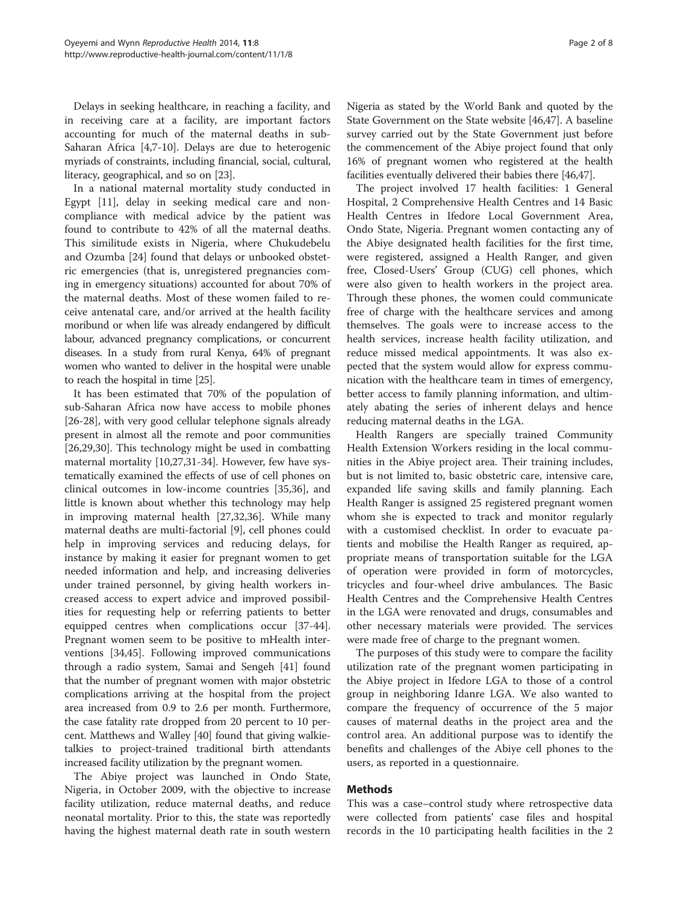Delays in seeking healthcare, in reaching a facility, and in receiving care at a facility, are important factors accounting for much of the maternal deaths in sub-Saharan Africa [[4,7-10\]](#page-6-0). Delays are due to heterogenic myriads of constraints, including financial, social, cultural, literacy, geographical, and so on [[23](#page-6-0)].

In a national maternal mortality study conducted in Egypt [\[11\]](#page-6-0), delay in seeking medical care and noncompliance with medical advice by the patient was found to contribute to 42% of all the maternal deaths. This similitude exists in Nigeria, where Chukudebelu and Ozumba [\[24](#page-6-0)] found that delays or unbooked obstetric emergencies (that is, unregistered pregnancies coming in emergency situations) accounted for about 70% of the maternal deaths. Most of these women failed to receive antenatal care, and/or arrived at the health facility moribund or when life was already endangered by difficult labour, advanced pregnancy complications, or concurrent diseases. In a study from rural Kenya, 64% of pregnant women who wanted to deliver in the hospital were unable to reach the hospital in time [[25\]](#page-7-0).

It has been estimated that 70% of the population of sub-Saharan Africa now have access to mobile phones [[26-28](#page-7-0)], with very good cellular telephone signals already present in almost all the remote and poor communities [[26,29,30\]](#page-7-0). This technology might be used in combatting maternal mortality [\[10](#page-6-0)[,27,31](#page-7-0)-[34\]](#page-7-0). However, few have systematically examined the effects of use of cell phones on clinical outcomes in low-income countries [\[35,36\]](#page-7-0), and little is known about whether this technology may help in improving maternal health [\[27,32,36\]](#page-7-0). While many maternal deaths are multi-factorial [\[9](#page-6-0)], cell phones could help in improving services and reducing delays, for instance by making it easier for pregnant women to get needed information and help, and increasing deliveries under trained personnel, by giving health workers increased access to expert advice and improved possibilities for requesting help or referring patients to better equipped centres when complications occur [\[37-44](#page-7-0)]. Pregnant women seem to be positive to mHealth interventions [[34,45\]](#page-7-0). Following improved communications through a radio system, Samai and Sengeh [[41\]](#page-7-0) found that the number of pregnant women with major obstetric complications arriving at the hospital from the project area increased from 0.9 to 2.6 per month. Furthermore, the case fatality rate dropped from 20 percent to 10 percent. Matthews and Walley [\[40](#page-7-0)] found that giving walkietalkies to project-trained traditional birth attendants increased facility utilization by the pregnant women.

The Abiye project was launched in Ondo State, Nigeria, in October 2009, with the objective to increase facility utilization, reduce maternal deaths, and reduce neonatal mortality. Prior to this, the state was reportedly having the highest maternal death rate in south western

Nigeria as stated by the World Bank and quoted by the State Government on the State website [\[46,47\]](#page-7-0). A baseline survey carried out by the State Government just before the commencement of the Abiye project found that only 16% of pregnant women who registered at the health facilities eventually delivered their babies there [\[46,47\]](#page-7-0).

The project involved 17 health facilities: 1 General Hospital, 2 Comprehensive Health Centres and 14 Basic Health Centres in Ifedore Local Government Area, Ondo State, Nigeria. Pregnant women contacting any of the Abiye designated health facilities for the first time, were registered, assigned a Health Ranger, and given free, Closed-Users' Group (CUG) cell phones, which were also given to health workers in the project area. Through these phones, the women could communicate free of charge with the healthcare services and among themselves. The goals were to increase access to the health services, increase health facility utilization, and reduce missed medical appointments. It was also expected that the system would allow for express communication with the healthcare team in times of emergency, better access to family planning information, and ultimately abating the series of inherent delays and hence reducing maternal deaths in the LGA.

Health Rangers are specially trained Community Health Extension Workers residing in the local communities in the Abiye project area. Their training includes, but is not limited to, basic obstetric care, intensive care, expanded life saving skills and family planning. Each Health Ranger is assigned 25 registered pregnant women whom she is expected to track and monitor regularly with a customised checklist. In order to evacuate patients and mobilise the Health Ranger as required, appropriate means of transportation suitable for the LGA of operation were provided in form of motorcycles, tricycles and four-wheel drive ambulances. The Basic Health Centres and the Comprehensive Health Centres in the LGA were renovated and drugs, consumables and other necessary materials were provided. The services were made free of charge to the pregnant women.

The purposes of this study were to compare the facility utilization rate of the pregnant women participating in the Abiye project in Ifedore LGA to those of a control group in neighboring Idanre LGA. We also wanted to compare the frequency of occurrence of the 5 major causes of maternal deaths in the project area and the control area. An additional purpose was to identify the benefits and challenges of the Abiye cell phones to the users, as reported in a questionnaire.

# Methods

This was a case–control study where retrospective data were collected from patients' case files and hospital records in the 10 participating health facilities in the 2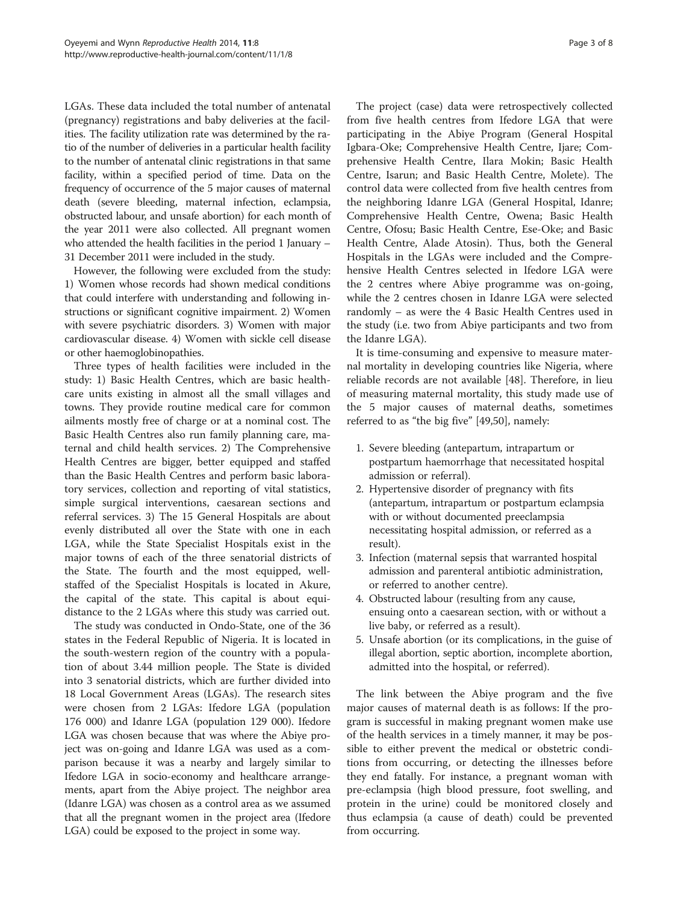LGAs. These data included the total number of antenatal (pregnancy) registrations and baby deliveries at the facilities. The facility utilization rate was determined by the ratio of the number of deliveries in a particular health facility to the number of antenatal clinic registrations in that same facility, within a specified period of time. Data on the frequency of occurrence of the 5 major causes of maternal death (severe bleeding, maternal infection, eclampsia, obstructed labour, and unsafe abortion) for each month of the year 2011 were also collected. All pregnant women who attended the health facilities in the period 1 January – 31 December 2011 were included in the study.

However, the following were excluded from the study: 1) Women whose records had shown medical conditions that could interfere with understanding and following instructions or significant cognitive impairment. 2) Women with severe psychiatric disorders. 3) Women with major cardiovascular disease. 4) Women with sickle cell disease or other haemoglobinopathies.

Three types of health facilities were included in the study: 1) Basic Health Centres, which are basic healthcare units existing in almost all the small villages and towns. They provide routine medical care for common ailments mostly free of charge or at a nominal cost. The Basic Health Centres also run family planning care, maternal and child health services. 2) The Comprehensive Health Centres are bigger, better equipped and staffed than the Basic Health Centres and perform basic laboratory services, collection and reporting of vital statistics, simple surgical interventions, caesarean sections and referral services. 3) The 15 General Hospitals are about evenly distributed all over the State with one in each LGA, while the State Specialist Hospitals exist in the major towns of each of the three senatorial districts of the State. The fourth and the most equipped, wellstaffed of the Specialist Hospitals is located in Akure, the capital of the state. This capital is about equidistance to the 2 LGAs where this study was carried out.

The study was conducted in Ondo-State, one of the 36 states in the Federal Republic of Nigeria. It is located in the south-western region of the country with a population of about 3.44 million people. The State is divided into 3 senatorial districts, which are further divided into 18 Local Government Areas (LGAs). The research sites were chosen from 2 LGAs: Ifedore LGA (population 176 000) and Idanre LGA (population 129 000). Ifedore LGA was chosen because that was where the Abiye project was on-going and Idanre LGA was used as a comparison because it was a nearby and largely similar to Ifedore LGA in socio-economy and healthcare arrangements, apart from the Abiye project. The neighbor area (Idanre LGA) was chosen as a control area as we assumed that all the pregnant women in the project area (Ifedore LGA) could be exposed to the project in some way.

The project (case) data were retrospectively collected from five health centres from Ifedore LGA that were participating in the Abiye Program (General Hospital Igbara-Oke; Comprehensive Health Centre, Ijare; Comprehensive Health Centre, Ilara Mokin; Basic Health Centre, Isarun; and Basic Health Centre, Molete). The control data were collected from five health centres from the neighboring Idanre LGA (General Hospital, Idanre; Comprehensive Health Centre, Owena; Basic Health Centre, Ofosu; Basic Health Centre, Ese-Oke; and Basic Health Centre, Alade Atosin). Thus, both the General Hospitals in the LGAs were included and the Comprehensive Health Centres selected in Ifedore LGA were the 2 centres where Abiye programme was on-going, while the 2 centres chosen in Idanre LGA were selected randomly – as were the 4 Basic Health Centres used in the study (i.e. two from Abiye participants and two from the Idanre LGA).

It is time-consuming and expensive to measure maternal mortality in developing countries like Nigeria, where reliable records are not available [\[48\]](#page-7-0). Therefore, in lieu of measuring maternal mortality, this study made use of the 5 major causes of maternal deaths, sometimes referred to as "the big five" [\[49,50](#page-7-0)], namely:

- 1. Severe bleeding (antepartum, intrapartum or postpartum haemorrhage that necessitated hospital admission or referral).
- 2. Hypertensive disorder of pregnancy with fits (antepartum, intrapartum or postpartum eclampsia with or without documented preeclampsia necessitating hospital admission, or referred as a result).
- 3. Infection (maternal sepsis that warranted hospital admission and parenteral antibiotic administration, or referred to another centre).
- 4. Obstructed labour (resulting from any cause, ensuing onto a caesarean section, with or without a live baby, or referred as a result).
- 5. Unsafe abortion (or its complications, in the guise of illegal abortion, septic abortion, incomplete abortion, admitted into the hospital, or referred).

The link between the Abiye program and the five major causes of maternal death is as follows: If the program is successful in making pregnant women make use of the health services in a timely manner, it may be possible to either prevent the medical or obstetric conditions from occurring, or detecting the illnesses before they end fatally. For instance, a pregnant woman with pre-eclampsia (high blood pressure, foot swelling, and protein in the urine) could be monitored closely and thus eclampsia (a cause of death) could be prevented from occurring.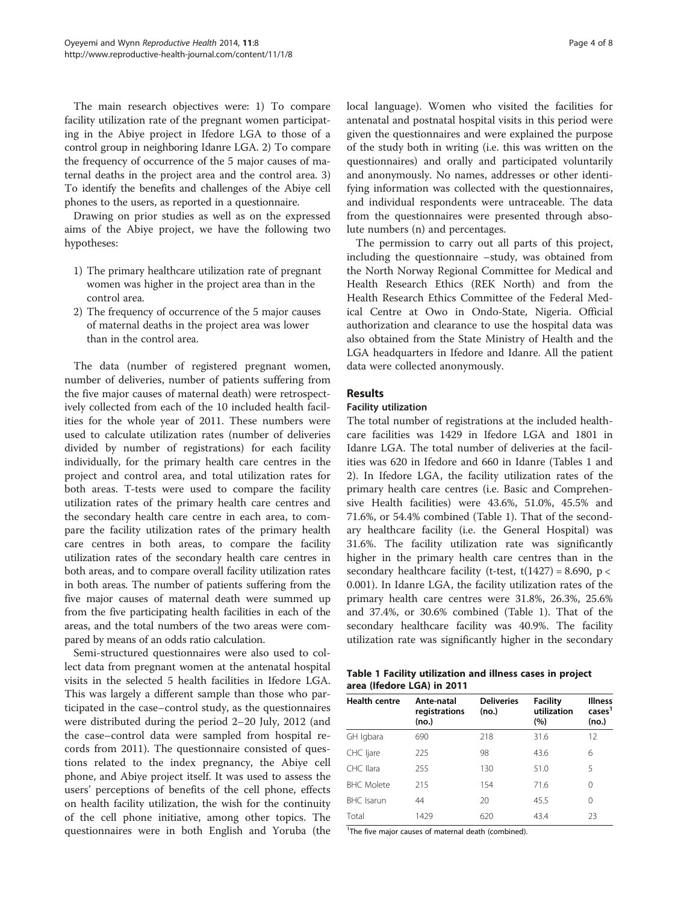<span id="page-3-0"></span>The main research objectives were: 1) To compare facility utilization rate of the pregnant women participating in the Abiye project in Ifedore LGA to those of a control group in neighboring Idanre LGA. 2) To compare the frequency of occurrence of the 5 major causes of maternal deaths in the project area and the control area. 3) To identify the benefits and challenges of the Abiye cell phones to the users, as reported in a questionnaire.

Drawing on prior studies as well as on the expressed aims of the Abiye project, we have the following two hypotheses:

- 1) The primary healthcare utilization rate of pregnant women was higher in the project area than in the control area.
- 2) The frequency of occurrence of the 5 major causes of maternal deaths in the project area was lower than in the control area.

The data (number of registered pregnant women, number of deliveries, number of patients suffering from the five major causes of maternal death) were retrospectively collected from each of the 10 included health facilities for the whole year of 2011. These numbers were used to calculate utilization rates (number of deliveries divided by number of registrations) for each facility individually, for the primary health care centres in the project and control area, and total utilization rates for both areas. T-tests were used to compare the facility utilization rates of the primary health care centres and the secondary health care centre in each area, to compare the facility utilization rates of the primary health care centres in both areas, to compare the facility utilization rates of the secondary health care centres in both areas, and to compare overall facility utilization rates in both areas. The number of patients suffering from the five major causes of maternal death were summed up from the five participating health facilities in each of the areas, and the total numbers of the two areas were compared by means of an odds ratio calculation.

Semi-structured questionnaires were also used to collect data from pregnant women at the antenatal hospital visits in the selected 5 health facilities in Ifedore LGA. This was largely a different sample than those who participated in the case–control study, as the questionnaires were distributed during the period 2–20 July, 2012 (and the case–control data were sampled from hospital records from 2011). The questionnaire consisted of questions related to the index pregnancy, the Abiye cell phone, and Abiye project itself. It was used to assess the users' perceptions of benefits of the cell phone, effects on health facility utilization, the wish for the continuity of the cell phone initiative, among other topics. The questionnaires were in both English and Yoruba (the local language). Women who visited the facilities for antenatal and postnatal hospital visits in this period were given the questionnaires and were explained the purpose of the study both in writing (i.e. this was written on the questionnaires) and orally and participated voluntarily and anonymously. No names, addresses or other identifying information was collected with the questionnaires, and individual respondents were untraceable. The data from the questionnaires were presented through absolute numbers (n) and percentages.

The permission to carry out all parts of this project, including the questionnaire –study, was obtained from the North Norway Regional Committee for Medical and Health Research Ethics (REK North) and from the Health Research Ethics Committee of the Federal Medical Centre at Owo in Ondo-State, Nigeria. Official authorization and clearance to use the hospital data was also obtained from the State Ministry of Health and the LGA headquarters in Ifedore and Idanre. All the patient data were collected anonymously.

### Results

#### Facility utilization

The total number of registrations at the included healthcare facilities was 1429 in Ifedore LGA and 1801 in Idanre LGA. The total number of deliveries at the facilities was 620 in Ifedore and 660 in Idanre (Tables 1 and [2\)](#page-4-0). In Ifedore LGA, the facility utilization rates of the primary health care centres (i.e. Basic and Comprehensive Health facilities) were 43.6%, 51.0%, 45.5% and 71.6%, or 54.4% combined (Table 1). That of the secondary healthcare facility (i.e. the General Hospital) was 31.6%. The facility utilization rate was significantly higher in the primary health care centres than in the secondary healthcare facility (t-test,  $t(1427) = 8.690$ ,  $p <$ 0.001). In Idanre LGA, the facility utilization rates of the primary health care centres were 31.8%, 26.3%, 25.6% and 37.4%, or 30.6% combined (Table 1). That of the secondary healthcare facility was 40.9%. The facility utilization rate was significantly higher in the secondary

| Table 1 Facility utilization and illness cases in project |  |  |
|-----------------------------------------------------------|--|--|
| area (Ifedore LGA) in 2011                                |  |  |

| <b>Health centre</b> | Ante-natal<br>registrations<br>(no.) | <b>Deliveries</b><br>(no.) | <b>Facility</b><br>utilization<br>(%) | <b>Illness</b><br>cases <sup>1</sup><br>(no.) |
|----------------------|--------------------------------------|----------------------------|---------------------------------------|-----------------------------------------------|
| GH Igbara            | 690                                  | 218                        | 31.6                                  | 12                                            |
| CHC ljare            | 225                                  | 98                         | 43.6                                  | 6                                             |
| CHC Ilara            | 255                                  | 130                        | 51.0                                  | 5                                             |
| <b>BHC</b> Molete    | 215                                  | 154                        | 71.6                                  | 0                                             |
| <b>BHC</b> Isarun    | 44                                   | 20                         | 45.5                                  | 0                                             |
| Total                | 1429                                 | 620                        | 43.4                                  | 23                                            |

<sup>1</sup>The five major causes of maternal death (combined).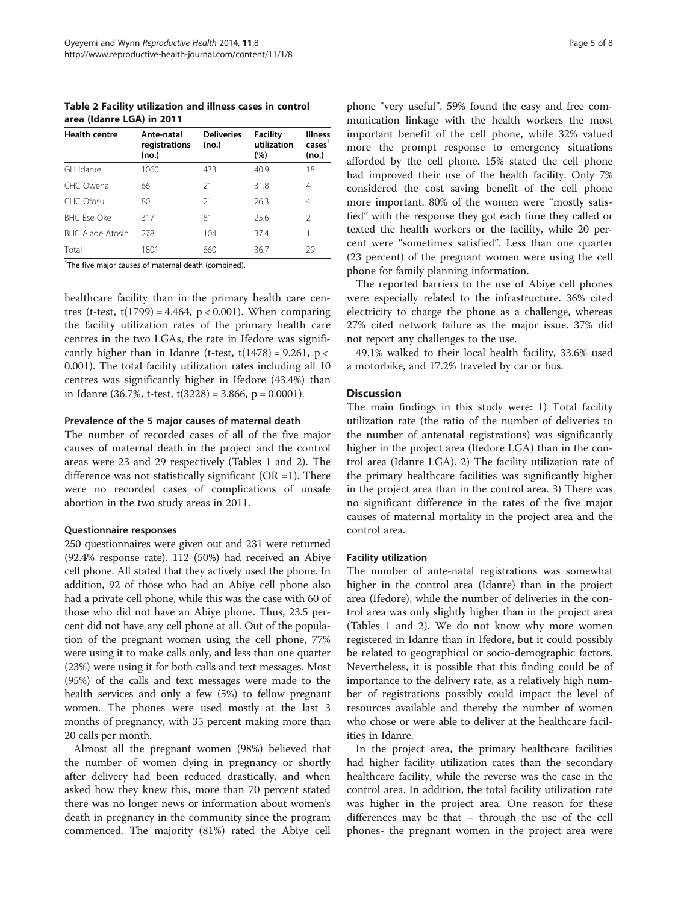<span id="page-4-0"></span>Table 2 Facility utilization and illness cases in control area (Idanre LGA) in 2011

| <b>Health centre</b> | Ante-natal<br>registrations<br>(no.) | <b>Deliveries</b><br>(no.) | Facility<br>utilization<br>(%) | <b>Illness</b><br>cases <sup>1</sup><br>(no.) |
|----------------------|--------------------------------------|----------------------------|--------------------------------|-----------------------------------------------|
| GH Idanre            | 1060                                 | 433                        | 40.9                           | 18                                            |
| CHC Owena            | 66                                   | 21                         | 31.8                           | 4                                             |
| CHC Ofosu            | 80                                   | 21                         | 26.3                           | 4                                             |
| <b>BHC Ese-Oke</b>   | 317                                  | 81                         | 25.6                           | 2                                             |
| BHC Alade Atosin     | 278                                  | 104                        | 37.4                           |                                               |
| Total                | 1801                                 | 660                        | 36.7                           | 29                                            |

<sup>1</sup>The five major causes of maternal death (combined).

healthcare facility than in the primary health care centres (t-test,  $t(1799) = 4.464$ ,  $p < 0.001$ ). When comparing the facility utilization rates of the primary health care centres in the two LGAs, the rate in Ifedore was significantly higher than in Idanre (t-test,  $t(1478) = 9.261$ ,  $p <$ 0.001). The total facility utilization rates including all 10 centres was significantly higher in Ifedore (43.4%) than in Idanre (36.7%, t-test, t(3228) = 3.866, p = 0.0001).

#### Prevalence of the 5 major causes of maternal death

The number of recorded cases of all of the five major causes of maternal death in the project and the control areas were 23 and 29 respectively (Tables [1](#page-3-0) and 2). The difference was not statistically significant ( $OR = 1$ ). There were no recorded cases of complications of unsafe abortion in the two study areas in 2011.

### Questionnaire responses

250 questionnaires were given out and 231 were returned (92.4% response rate). 112 (50%) had received an Abiye cell phone. All stated that they actively used the phone. In addition, 92 of those who had an Abiye cell phone also had a private cell phone, while this was the case with 60 of those who did not have an Abiye phone. Thus, 23.5 percent did not have any cell phone at all. Out of the population of the pregnant women using the cell phone, 77% were using it to make calls only, and less than one quarter (23%) were using it for both calls and text messages. Most (95%) of the calls and text messages were made to the health services and only a few (5%) to fellow pregnant women. The phones were used mostly at the last 3 months of pregnancy, with 35 percent making more than 20 calls per month.

Almost all the pregnant women (98%) believed that the number of women dying in pregnancy or shortly after delivery had been reduced drastically, and when asked how they knew this, more than 70 percent stated there was no longer news or information about women's death in pregnancy in the community since the program commenced. The majority (81%) rated the Abiye cell

phone "very useful". 59% found the easy and free communication linkage with the health workers the most important benefit of the cell phone, while 32% valued more the prompt response to emergency situations afforded by the cell phone. 15% stated the cell phone had improved their use of the health facility. Only 7% considered the cost saving benefit of the cell phone more important. 80% of the women were "mostly satisfied" with the response they got each time they called or texted the health workers or the facility, while 20 percent were "sometimes satisfied". Less than one quarter (23 percent) of the pregnant women were using the cell phone for family planning information.

The reported barriers to the use of Abiye cell phones were especially related to the infrastructure. 36% cited electricity to charge the phone as a challenge, whereas 27% cited network failure as the major issue. 37% did not report any challenges to the use.

49.1% walked to their local health facility, 33.6% used a motorbike, and 17.2% traveled by car or bus.

#### **Discussion**

The main findings in this study were: 1) Total facility utilization rate (the ratio of the number of deliveries to the number of antenatal registrations) was significantly higher in the project area (Ifedore LGA) than in the control area (Idanre LGA). 2) The facility utilization rate of the primary healthcare facilities was significantly higher in the project area than in the control area. 3) There was no significant difference in the rates of the five major causes of maternal mortality in the project area and the control area.

### Facility utilization

The number of ante-natal registrations was somewhat higher in the control area (Idanre) than in the project area (Ifedore), while the number of deliveries in the control area was only slightly higher than in the project area (Tables [1](#page-3-0) and 2). We do not know why more women registered in Idanre than in Ifedore, but it could possibly be related to geographical or socio-demographic factors. Nevertheless, it is possible that this finding could be of importance to the delivery rate, as a relatively high number of registrations possibly could impact the level of resources available and thereby the number of women who chose or were able to deliver at the healthcare facilities in Idanre.

In the project area, the primary healthcare facilities had higher facility utilization rates than the secondary healthcare facility, while the reverse was the case in the control area. In addition, the total facility utilization rate was higher in the project area. One reason for these differences may be that – through the use of the cell phones- the pregnant women in the project area were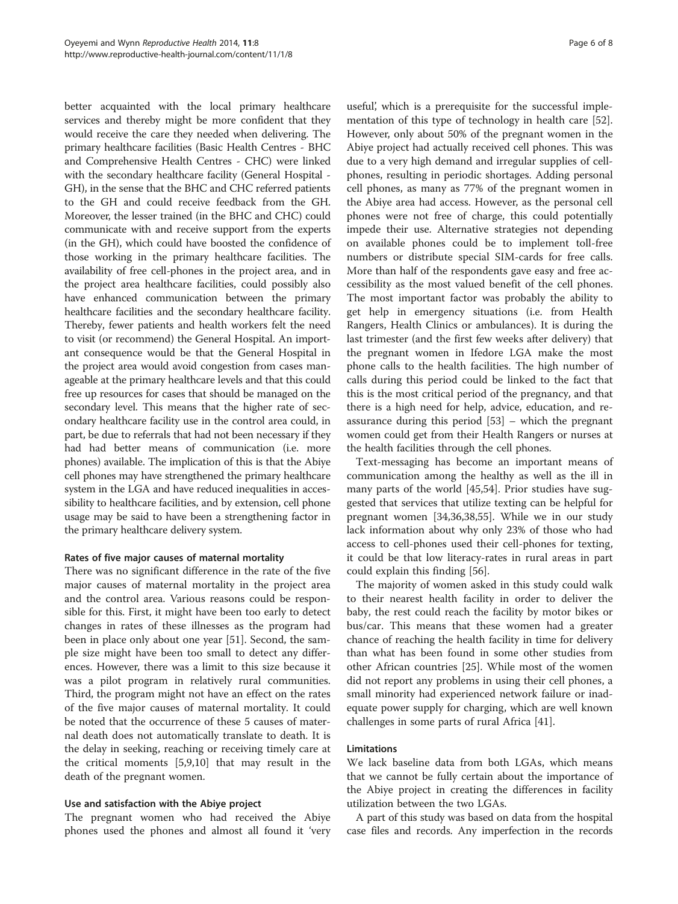better acquainted with the local primary healthcare services and thereby might be more confident that they would receive the care they needed when delivering. The primary healthcare facilities (Basic Health Centres - BHC and Comprehensive Health Centres - CHC) were linked with the secondary healthcare facility (General Hospital - GH), in the sense that the BHC and CHC referred patients to the GH and could receive feedback from the GH. Moreover, the lesser trained (in the BHC and CHC) could communicate with and receive support from the experts (in the GH), which could have boosted the confidence of those working in the primary healthcare facilities. The availability of free cell-phones in the project area, and in the project area healthcare facilities, could possibly also have enhanced communication between the primary healthcare facilities and the secondary healthcare facility. Thereby, fewer patients and health workers felt the need to visit (or recommend) the General Hospital. An important consequence would be that the General Hospital in the project area would avoid congestion from cases manageable at the primary healthcare levels and that this could free up resources for cases that should be managed on the secondary level. This means that the higher rate of secondary healthcare facility use in the control area could, in part, be due to referrals that had not been necessary if they had had better means of communication (i.e. more phones) available. The implication of this is that the Abiye cell phones may have strengthened the primary healthcare system in the LGA and have reduced inequalities in accessibility to healthcare facilities, and by extension, cell phone usage may be said to have been a strengthening factor in the primary healthcare delivery system.

#### Rates of five major causes of maternal mortality

There was no significant difference in the rate of the five major causes of maternal mortality in the project area and the control area. Various reasons could be responsible for this. First, it might have been too early to detect changes in rates of these illnesses as the program had been in place only about one year [[51\]](#page-7-0). Second, the sample size might have been too small to detect any differences. However, there was a limit to this size because it was a pilot program in relatively rural communities. Third, the program might not have an effect on the rates of the five major causes of maternal mortality. It could be noted that the occurrence of these 5 causes of maternal death does not automatically translate to death. It is the delay in seeking, reaching or receiving timely care at the critical moments [[5,9,10\]](#page-6-0) that may result in the death of the pregnant women.

# Use and satisfaction with the Abiye project

The pregnant women who had received the Abiye phones used the phones and almost all found it 'very

useful', which is a prerequisite for the successful implementation of this type of technology in health care [\[52](#page-7-0)]. However, only about 50% of the pregnant women in the Abiye project had actually received cell phones. This was due to a very high demand and irregular supplies of cellphones, resulting in periodic shortages. Adding personal cell phones, as many as 77% of the pregnant women in the Abiye area had access. However, as the personal cell phones were not free of charge, this could potentially impede their use. Alternative strategies not depending on available phones could be to implement toll-free numbers or distribute special SIM-cards for free calls. More than half of the respondents gave easy and free accessibility as the most valued benefit of the cell phones. The most important factor was probably the ability to get help in emergency situations (i.e. from Health Rangers, Health Clinics or ambulances). It is during the last trimester (and the first few weeks after delivery) that the pregnant women in Ifedore LGA make the most phone calls to the health facilities. The high number of calls during this period could be linked to the fact that this is the most critical period of the pregnancy, and that there is a high need for help, advice, education, and reassurance during this period [[53\]](#page-7-0) – which the pregnant women could get from their Health Rangers or nurses at the health facilities through the cell phones.

Text-messaging has become an important means of communication among the healthy as well as the ill in many parts of the world [[45](#page-7-0),[54](#page-7-0)]. Prior studies have suggested that services that utilize texting can be helpful for pregnant women [[34,36,38,55\]](#page-7-0). While we in our study lack information about why only 23% of those who had access to cell-phones used their cell-phones for texting, it could be that low literacy-rates in rural areas in part could explain this finding [\[56\]](#page-7-0).

The majority of women asked in this study could walk to their nearest health facility in order to deliver the baby, the rest could reach the facility by motor bikes or bus/car. This means that these women had a greater chance of reaching the health facility in time for delivery than what has been found in some other studies from other African countries [[25\]](#page-7-0). While most of the women did not report any problems in using their cell phones, a small minority had experienced network failure or inadequate power supply for charging, which are well known challenges in some parts of rural Africa [[41](#page-7-0)].

#### Limitations

We lack baseline data from both LGAs, which means that we cannot be fully certain about the importance of the Abiye project in creating the differences in facility utilization between the two LGAs.

A part of this study was based on data from the hospital case files and records. Any imperfection in the records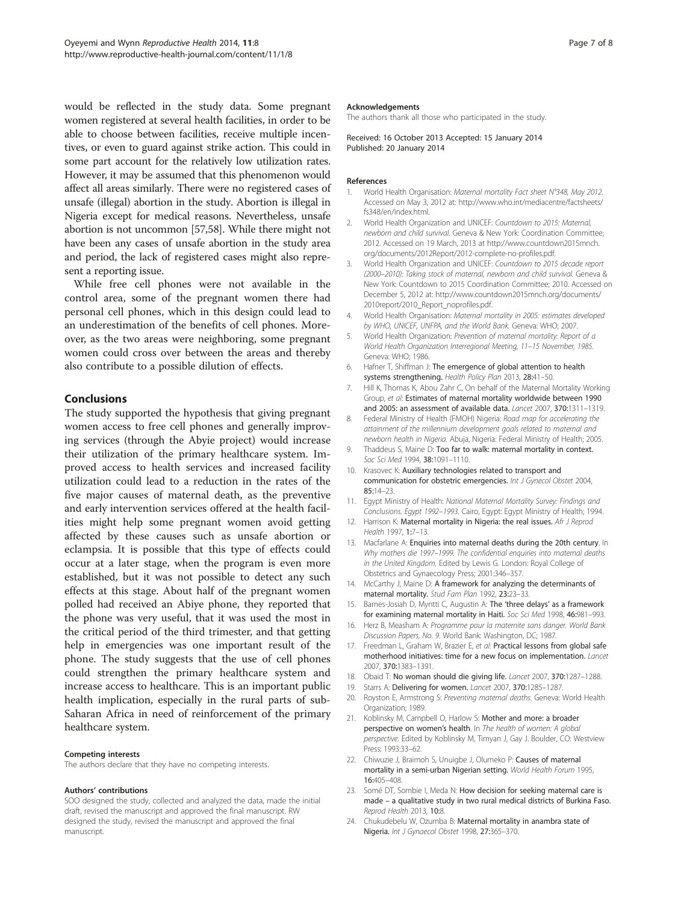<span id="page-6-0"></span>would be reflected in the study data. Some pregnant women registered at several health facilities, in order to be able to choose between facilities, receive multiple incentives, or even to guard against strike action. This could in some part account for the relatively low utilization rates. However, it may be assumed that this phenomenon would affect all areas similarly. There were no registered cases of unsafe (illegal) abortion in the study. Abortion is illegal in Nigeria except for medical reasons. Nevertheless, unsafe abortion is not uncommon [\[57,58](#page-7-0)]. While there might not have been any cases of unsafe abortion in the study area and period, the lack of registered cases might also represent a reporting issue.

While free cell phones were not available in the control area, some of the pregnant women there had personal cell phones, which in this design could lead to an underestimation of the benefits of cell phones. Moreover, as the two areas were neighboring, some pregnant women could cross over between the areas and thereby also contribute to a possible dilution of effects.

# Conclusions

The study supported the hypothesis that giving pregnant women access to free cell phones and generally improving services (through the Abyie project) would increase their utilization of the primary healthcare system. Improved access to health services and increased facility utilization could lead to a reduction in the rates of the five major causes of maternal death, as the preventive and early intervention services offered at the health facilities might help some pregnant women avoid getting affected by these causes such as unsafe abortion or eclampsia. It is possible that this type of effects could occur at a later stage, when the program is even more established, but it was not possible to detect any such effects at this stage. About half of the pregnant women polled had received an Abiye phone, they reported that the phone was very useful, that it was used the most in the critical period of the third trimester, and that getting help in emergencies was one important result of the phone. The study suggests that the use of cell phones could strengthen the primary healthcare system and increase access to healthcare. This is an important public health implication, especially in the rural parts of sub-Saharan Africa in need of reinforcement of the primary healthcare system.

#### Competing interests

The authors declare that they have no competing interests.

#### Authors' contributions

SOO designed the study, collected and analyzed the data, made the initial draft, revised the manuscript and approved the final manuscript. RW designed the study, revised the manuscript and approved the final manuscript.

#### Acknowledgements

The authors thank all those who participated in the study.

Received: 16 October 2013 Accepted: 15 January 2014 Published: 20 January 2014

#### References

- 1. World Health Organisation: Maternal mortality Fact sheet N°348, May 2012. Accessed on May 3, 2012 at: [http://www.who.int/mediacentre/factsheets/](http://www.who.int/mediacentre/factsheets/fs348/en/index.html) [fs348/en/index.html](http://www.who.int/mediacentre/factsheets/fs348/en/index.html).
- 2. World Health Organization and UNICEF: Countdown to 2015: Maternal, newborn and child survival. Geneva & New York: Coordination Committee; 2012. Accessed on 19 March, 2013 at [http://www.countdown2015mnch.](http://www.countdown2015mnch.org/documents/2012Report/2012-complete-no-profiles.pdf) [org/documents/2012Report/2012-complete-no-profiles.pdf](http://www.countdown2015mnch.org/documents/2012Report/2012-complete-no-profiles.pdf).
- 3. World Health Organization and UNICEF: Countdown to 2015 decade report (2000–2010): Taking stock of maternal, newborn and child survival. Geneva & New York: Countdown to 2015 Coordination Committee; 2010. Accessed on December 5, 2012 at: [http://www.countdown2015mnch.org/documents/](http://www.countdown2015mnch.org/documents/2010report/2010_Report_noprofiles.pdf) [2010report/2010\\_Report\\_noprofiles.pdf.](http://www.countdown2015mnch.org/documents/2010report/2010_Report_noprofiles.pdf)
- 4. World Health Organisation: Maternal mortality in 2005: estimates developed by WHO, UNICEF, UNFPA, and the World Bank. Geneva: WHO; 2007.
- 5. World Health Organization: Prevention of maternal mortality: Report of a World Health Organization Interregional Meeting, 11–15 November, 1985. Geneva: WHO; 1986.
- 6. Hafner T, Shiffman J: The emergence of global attention to health systems strengthening. Health Policy Plan 2013, 28:41–50.
- 7. Hill K, Thomas K, Abou Zahr C, On behalf of the Maternal Mortality Working Group, et al: Estimates of maternal mortality worldwide between 1990 and 2005: an assessment of available data. Lancet 2007, 370:1311–1319.
- 8. Federal Ministry of Health (FMOH) Nigeria: Road map for accelerating the attainment of the millennium development goals related to maternal and newborn health in Nigeria. Abuja, Nigeria: Federal Ministry of Health; 2005.
- 9. Thaddeus S, Maine D: Too far to walk: maternal mortality in context. Soc Sci Med 1994, 38:1091–1110.
- 10. Krasovec K: Auxiliary technologies related to transport and communication for obstetric emergencies. Int J Gynecol Obstet 2004, 85:14–23.
- 11. Egypt Ministry of Health: National Maternal Mortality Survey: Findings and Conclusions. Egypt 1992–1993. Cairo, Egypt: Egypt Ministry of Health; 1994.
- 12. Harrison K: Maternal mortality in Nigeria: the real issues. Afr J Reprod Health 1997, 1:7–13.
- 13. Macfarlane A: Enquiries into maternal deaths during the 20th century. In Why mothers die 1997–1999. The confidential enquiries into maternal deaths in the United Kingdom. Edited by Lewis G. London: Royal College of Obstetrics and Gynaecology Press; 2001:346–357.
- 14. McCarthy J, Maine D: A framework for analyzing the determinants of maternal mortality. Stud Fam Plan 1992, 23:23–33.
- 15. Barnes-Josiah D, Myntti C, Augustin A: The 'three delays' as a framework for examining maternal mortality in Haiti. Soc Sci Med 1998, 46:981–993.
- 16. Herz B, Measham A: Programme pour la maternite sans danger. World Bank Discussion Papers, No. 9. World Bank: Washington, DC; 1987.
- 17. Freedman L, Graham W, Brazier E, et al: Practical lessons from global safe motherhood initiatives: time for a new focus on implementation. Lancet 2007, 370:1383–1391.
- 18. Obaid T: No woman should die giving life. Lancet 2007, 370:1287–1288.
- 19. Starrs A: Delivering for women. Lancet 2007, 370:1285-1287
- 20. Royston E, Armstrong S: Preventing maternal deaths. Geneva: World Health Organization; 1989.
- 21. Koblinsky M, Campbell O, Harlow S: Mother and more: a broader perspective on women's health. In The health of women: A global perspective. Edited by Koblinsky M, Timyan J, Gay J. Boulder, CO: Westview Press; 1993:33–62.
- 22. Chiwuzie J, Braimoh S, Unuigbe J, Olumeko P: Causes of maternal mortality in a semi-urban Nigerian setting. World Health Forum 1995, 16:405–408.
- 23. Somé DT, Sombie I, Meda N: How decision for seeking maternal care is made – a qualitative study in two rural medical districts of Burkina Faso. Reprod Health 2013, 10:8.
- 24. Chukudebelu W, Ozumba B: Maternal mortality in anambra state of Nigeria. Int J Gynaecol Obstet 1998, 27:365–370.